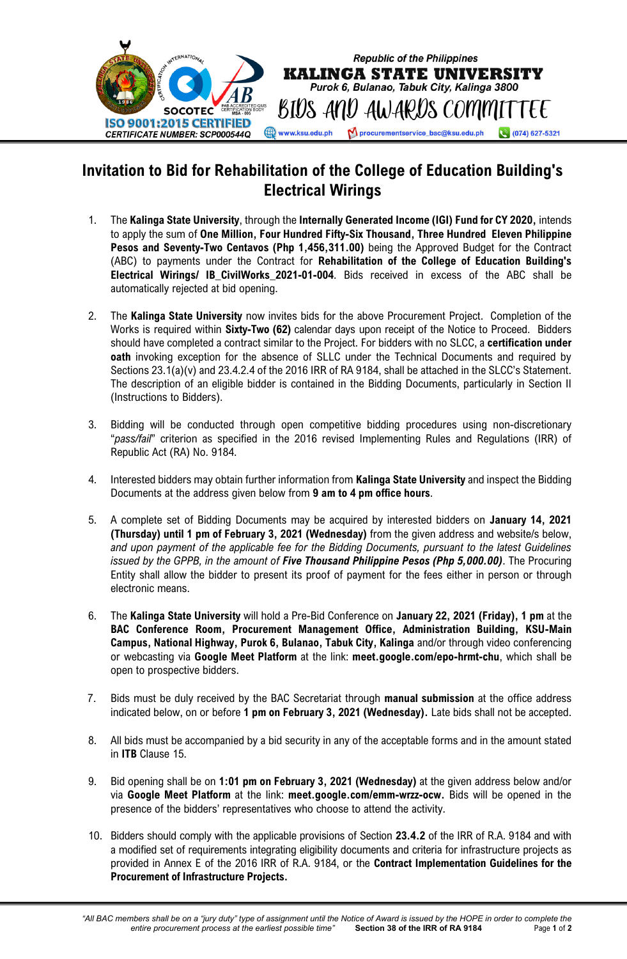

## **Invitation to Bid for Rehabilitation of the College of Education Building's Electrical Wirings**

- 1. The **Kalinga State University**, through the **Internally Generated Income (IGI) Fund for CY 2020,** intends to apply the sum of **One Million, Four Hundred Fifty-Six Thousand, Three Hundred Eleven Philippine Pesos and Seventy-Two Centavos (Php 1,456,311.00)** being the Approved Budget for the Contract (ABC) to payments under the Contract for **Rehabilitation of the College of Education Building's Electrical Wirings/ IB\_CivilWorks\_2021-01-004**. Bids received in excess of the ABC shall be automatically rejected at bid opening.
- 2. The **Kalinga State University** now invites bids for the above Procurement Project. Completion of the Works is required within **Sixty-Two (62)** calendar days upon receipt of the Notice to Proceed. Bidders should have completed a contract similar to the Project. For bidders with no SLCC, a **certification under oath** invoking exception for the absence of SLLC under the Technical Documents and required by Sections 23.1(a)(v) and 23.4.2.4 of the 2016 IRR of RA 9184, shall be attached in the SLCC's Statement. The description of an eligible bidder is contained in the Bidding Documents, particularly in Section II (Instructions to Bidders).
- 3. Bidding will be conducted through open competitive bidding procedures using non-discretionary "*pass/fail*" criterion as specified in the 2016 revised Implementing Rules and Regulations (IRR) of Republic Act (RA) No. 9184.
- 4. Interested bidders may obtain further information from **Kalinga State University** and inspect the Bidding Documents at the address given below from **9 am to 4 pm office hours**.
- 5. A complete set of Bidding Documents may be acquired by interested bidders on **January 14, 2021 (Thursday) until 1 pm of February 3, 2021 (Wednesday)** from the given address and website/s below, *and upon payment of the applicable fee for the Bidding Documents, pursuant to the latest Guidelines issued by the GPPB, in the amount of Five Thousand Philippine Pesos (Php 5,000.00)*. The Procuring Entity shall allow the bidder to present its proof of payment for the fees either in person or through electronic means.
- 6. The **Kalinga State University** will hold a Pre-Bid Conference on **January 22, 2021 (Friday), 1 pm** at the **BAC Conference Room, Procurement Management Office, Administration Building, KSU-Main Campus, National Highway, Purok 6, Bulanao, Tabuk City, Kalinga** and/or through video conferencing or webcasting via **Google Meet Platform** at the link: **meet.google.com/epo-hrmt-chu**, which shall be open to prospective bidders.
- 7. Bids must be duly received by the BAC Secretariat through **manual submission** at the office address indicated below, on or before **1 pm on February 3, 2021 (Wednesday).** Late bids shall not be accepted.
- 8. All bids must be accompanied by a bid security in any of the acceptable forms and in the amount stated in **ITB** Clause 15.
- 9. Bid opening shall be on **1:01 pm on February 3, 2021 (Wednesday)** at the given address below and/or via **Google Meet Platform** at the link: **meet.google.com/emm-wrzz-ocw.** Bids will be opened in the presence of the bidders' representatives who choose to attend the activity.
- 10. Bidders should comply with the applicable provisions of Section **23.4.2** of the IRR of R.A. 9184 and with a modified set of requirements integrating eligibility documents and criteria for infrastructure projects as provided in Annex E of the 2016 IRR of R.A. 9184, or the **Contract Implementation Guidelines for the Procurement of Infrastructure Projects.**